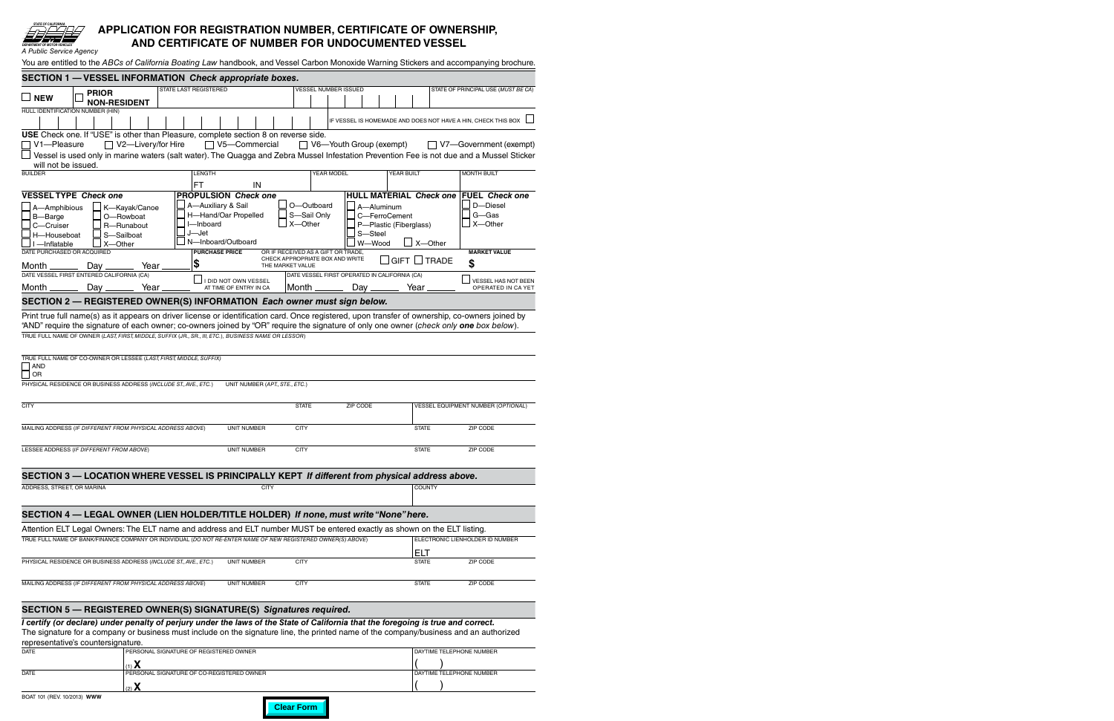## **APPLICATION FOR REGISTRATION NUMBER, CERTIFICATE OF OWNERSHIP, AND CERTIFICATE OF NUMBER FOR UNDOCUMENTED VESSEL**

| A I UNIIU JEI VIUT AYEIIUY                                                                                                                                                                                                                                                  |                                                                                        |                                                                                           |                                                                            |                                    |                                                  |
|-----------------------------------------------------------------------------------------------------------------------------------------------------------------------------------------------------------------------------------------------------------------------------|----------------------------------------------------------------------------------------|-------------------------------------------------------------------------------------------|----------------------------------------------------------------------------|------------------------------------|--------------------------------------------------|
| You are entitled to the ABCs of California Boating Law handbook, and Vessel Carbon Monoxide Warning Stickers and accompanying brochure.                                                                                                                                     |                                                                                        |                                                                                           |                                                                            |                                    |                                                  |
| SECTION 1 - VESSEL INFORMATION Check appropriate boxes.                                                                                                                                                                                                                     |                                                                                        |                                                                                           |                                                                            |                                    |                                                  |
| <b>PRIOR</b><br>$\Box$ NEW<br><b>NON-RESIDENT</b>                                                                                                                                                                                                                           | <b>STATE LAST REGISTERED</b>                                                           | <b>VESSEL NUMBER ISSUED</b>                                                               |                                                                            |                                    | STATE OF PRINCIPAL USE (MUST BE CA)              |
| HULL IDENTIFICATION NUMBER (HIN)                                                                                                                                                                                                                                            |                                                                                        |                                                                                           | IF VESSEL IS HOMEMADE AND DOES NOT HAVE A HIN, CHECK THIS BOX              |                                    |                                                  |
| USE Check one. If "USE" is other than Pleasure, complete section 8 on reverse side.                                                                                                                                                                                         |                                                                                        |                                                                                           |                                                                            |                                    |                                                  |
| $\Box$ V2-Livery/for Hire<br>V1-Pleasure<br>Vessel is used only in marine waters (salt water). The Quagga and Zebra Mussel Infestation Prevention Fee is not due and a Mussel Sticker                                                                                       | $\Box$ V5-Commercial                                                                   |                                                                                           | ◯ V6—Youth Group (exempt)                                                  |                                    | $\Box$ V7-Government (exempt)                    |
| will not be issued.<br><b>BUILDER</b>                                                                                                                                                                                                                                       | <b>LENGTH</b>                                                                          | YEAR MODEL                                                                                | <b>YEAR BUILT</b>                                                          |                                    | MONTH BUILT                                      |
|                                                                                                                                                                                                                                                                             | FT<br>IN                                                                               |                                                                                           |                                                                            |                                    |                                                  |
| <b>VESSEL TYPE Check one</b>                                                                                                                                                                                                                                                | <b>PROPULSION Check one</b>                                                            |                                                                                           | <b>HULL MATERIAL Check one</b>                                             |                                    | <b>FUEL Check one</b>                            |
| A-Amphibious<br>K-Kayak/Canoe<br>B-Barge<br>O-Rowboat<br>C-Cruiser<br>R-Runabout<br>S-Sailboat<br>H-Houseboat<br>I-Inflatable<br>X-Other                                                                                                                                    | A-Auxiliary & Sail<br>H-Hand/Oar Propelled<br>I-Inboard<br>J—Jet<br>N-Inboard/Outboard | O-Outboard<br>S-Sail Only<br>X-Other                                                      | A-Aluminum<br>C-FerroCement<br>P-Plastic (Fiberglass)<br>S-Steel<br>W-Wood | X-Other                            | D-Diesel<br>G-Gas<br>X-Other                     |
| DATE PURCHASED OR ACQUIRED<br>Year.<br>Month $\_\_\_\_\_\_\_\$<br>Day $_{-}$                                                                                                                                                                                                | <b>PURCHASE PRICE</b><br>\$                                                            | OR IF RECEIVED AS A GIFT OR TRADE,<br>CHECK APPROPRIATE BOX AND WRITE<br>THE MARKET VALUE |                                                                            | $\lrcorner$ GIFT $\lrcorner$ Trade | <b>MARKET VALUE</b><br>\$                        |
| DATE VESSEL FIRST ENTERED CALIFORNIA (CA)<br>Month _______<br>Day ______<br>Year <sub>-</sub>                                                                                                                                                                               | I DID NOT OWN VESSEL<br>AT TIME OF ENTRY IN CA                                         | Month $\_\_\_\_\_\_\$                                                                     | DATE VESSEL FIRST OPERATED IN CALIFORNIA (CA)<br>Day $\frac{2}{\sqrt{2}}$  | Year.                              | <b>VESSEL HAS NOT BEEN</b><br>OPERATED IN CA YET |
| SECTION 2 - REGISTERED OWNER(S) INFORMATION Each owner must sign below.                                                                                                                                                                                                     |                                                                                        |                                                                                           |                                                                            |                                    |                                                  |
| TRUE FULL NAME OF CO-OWNER OR LESSEE (LAST, FIRST, MIDDLE, SUFFIX)<br>AND<br>OR<br>PHYSICAL RESIDENCE OR BUSINESS ADDRESS (INCLUDE ST., AVE., ETC.)                                                                                                                         | UNIT NUMBER (APT., STE., ETC.)                                                         |                                                                                           |                                                                            |                                    |                                                  |
| <b>CITY</b>                                                                                                                                                                                                                                                                 |                                                                                        | <b>STATE</b>                                                                              | ZIP CODE                                                                   |                                    | VESSEL EQUIPMENT NUMBER (OPTIONAL)               |
| MAILING ADDRESS (IF DIFFERENT FROM PHYSICAL ADDRESS ABOVE)                                                                                                                                                                                                                  | <b>UNIT NUMBER</b>                                                                     | <b>CITY</b>                                                                               |                                                                            | <b>STATE</b>                       | ZIP CODE                                         |
| LESSEE ADDRESS (IF DIFFERENT FROM ABOVE)                                                                                                                                                                                                                                    | <b>UNIT NUMBER</b>                                                                     | <b>CITY</b>                                                                               |                                                                            | <b>STATE</b>                       | ZIP CODE                                         |
| SECTION 3 - LOCATION WHERE VESSEL IS PRINCIPALLY KEPT If different from physical address above.                                                                                                                                                                             |                                                                                        |                                                                                           |                                                                            |                                    |                                                  |
| ADDRESS, STREET, OR MARINA                                                                                                                                                                                                                                                  | <b>CITY</b>                                                                            |                                                                                           |                                                                            | <b>COUNTY</b>                      |                                                  |
| SECTION 4 - LEGAL OWNER (LIEN HOLDER/TITLE HOLDER) If none, must write "None" here.                                                                                                                                                                                         |                                                                                        |                                                                                           |                                                                            |                                    |                                                  |
| Attention ELT Legal Owners: The ELT name and address and ELT number MUST be entered exactly as shown on the ELT listing                                                                                                                                                     |                                                                                        |                                                                                           |                                                                            |                                    |                                                  |
| TRUE FULL NAME OF BANK/FINANCE COMPANY OR INDIVIDUAL (DO NOT RE-ENTER NAME OF NEW REGISTERED OWNER(S) ABOVE)                                                                                                                                                                |                                                                                        |                                                                                           |                                                                            |                                    | ELECTRONIC LIENHOLDER ID NUMBER                  |
|                                                                                                                                                                                                                                                                             |                                                                                        |                                                                                           |                                                                            | ELT                                |                                                  |
| PHYSICAL RESIDENCE OR BUSINESS ADDRESS (INCLUDE ST., AVE., ETC.)                                                                                                                                                                                                            | <b>UNIT NUMBER</b>                                                                     | <b>CITY</b>                                                                               |                                                                            | <b>STATE</b>                       | ZIP CODE                                         |
| MAILING ADDRESS (IF DIFFERENT FROM PHYSICAL ADDRESS ABOVE)                                                                                                                                                                                                                  | <b>UNIT NUMBER</b>                                                                     | <b>CITY</b>                                                                               |                                                                            | <b>STATE</b>                       | ZIP CODE                                         |
| SECTION 5 - REGISTERED OWNER(S) SIGNATURE(S) Signatures required.                                                                                                                                                                                                           |                                                                                        |                                                                                           |                                                                            |                                    |                                                  |
| I certify (or declare) under penalty of perjury under the laws of the State of California that the foregoing is true and correct.<br>The signature for a company or business must include on the signature line, the printed name of the company/business and an authorized |                                                                                        |                                                                                           |                                                                            |                                    |                                                  |
| representative's countersignature.<br><b>DATE</b>                                                                                                                                                                                                                           | PERSONAL SIGNATURE OF REGISTERED OWNER                                                 |                                                                                           |                                                                            | <b>DAYTIME TELEPHONE NUMBER</b>    |                                                  |

| <b>DATE</b>                         | l PERSONAL SIGNATURE OF REGISTERED OWNER  | <b>I DAYTIME TELEPHONE NUMBER</b> |  |
|-------------------------------------|-------------------------------------------|-----------------------------------|--|
|                                     | $\overline{ }$                            |                                   |  |
| <b>DATE</b>                         | FERSONAL SIGNATURE OF CO-REGISTERED OWNER | <b>I DAYTIME TELEPHONE NUMBER</b> |  |
|                                     | $(2)$ $\lambda$                           |                                   |  |
| <b>MAMM (CEOOL) IN THE TAP TAND</b> |                                           |                                   |  |

*STATE OF CALIFORNIA*

*DEPARTMENT OF MOTOR VEHICLES* **®** *A Public Service Agency*